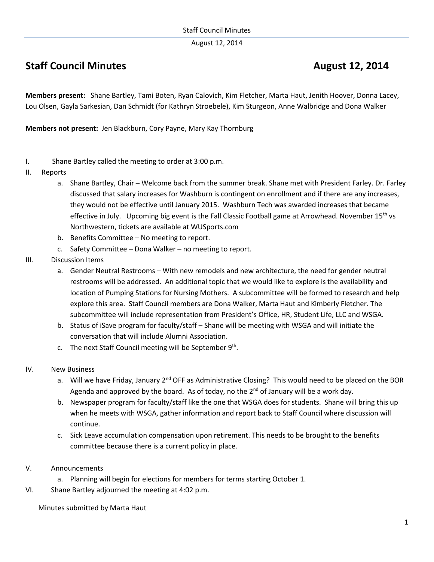August 12, 2014

## **Staff Council Minutes August 12, 2014**

**Members present:** Shane Bartley, Tami Boten, Ryan Calovich, Kim Fletcher, Marta Haut, Jenith Hoover, Donna Lacey, Lou Olsen, Gayla Sarkesian, Dan Schmidt (for Kathryn Stroebele), Kim Sturgeon, Anne Walbridge and Dona Walker

**Members not present:** Jen Blackburn, Cory Payne, Mary Kay Thornburg

- I. Shane Bartley called the meeting to order at 3:00 p.m.
- II. Reports
	- a. Shane Bartley, Chair Welcome back from the summer break. Shane met with President Farley. Dr. Farley discussed that salary increases for Washburn is contingent on enrollment and if there are any increases, they would not be effective until January 2015. Washburn Tech was awarded increases that became effective in July. Upcoming big event is the Fall Classic Football game at Arrowhead. November  $15<sup>th</sup>$  vs Northwestern, tickets are available at WUSports.com
	- b. Benefits Committee No meeting to report.
	- c. Safety Committee Dona Walker no meeting to report.
- III. Discussion Items
	- a. Gender Neutral Restrooms With new remodels and new architecture, the need for gender neutral restrooms will be addressed. An additional topic that we would like to explore is the availability and location of Pumping Stations for Nursing Mothers. A subcommittee will be formed to research and help explore this area. Staff Council members are Dona Walker, Marta Haut and Kimberly Fletcher. The subcommittee will include representation from President's Office, HR, Student Life, LLC and WSGA.
	- b. Status of iSave program for faculty/staff Shane will be meeting with WSGA and will initiate the conversation that will include Alumni Association.
	- c. The next Staff Council meeting will be September 9<sup>th</sup>.
- IV. New Business
	- a. Will we have Friday, January  $2^{nd}$  OFF as Administrative Closing? This would need to be placed on the BOR Agenda and approved by the board. As of today, no the  $2<sup>nd</sup>$  of January will be a work day.
	- b. Newspaper program for faculty/staff like the one that WSGA does for students. Shane will bring this up when he meets with WSGA, gather information and report back to Staff Council where discussion will continue.
	- c. Sick Leave accumulation compensation upon retirement. This needs to be brought to the benefits committee because there is a current policy in place.
- V. Announcements
	- a. Planning will begin for elections for members for terms starting October 1.
- VI. Shane Bartley adjourned the meeting at 4:02 p.m.

Minutes submitted by Marta Haut